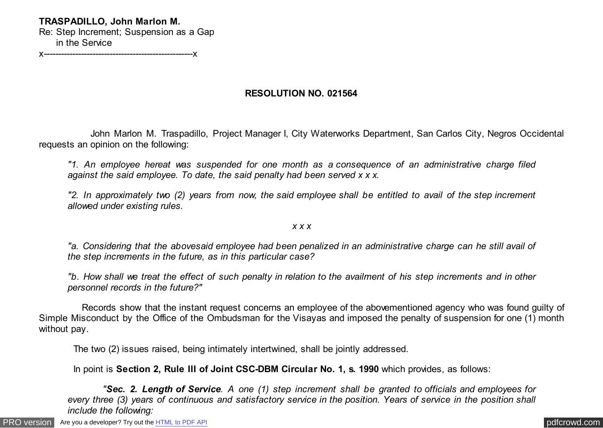## **TRASPADILLO, John Marlon M.**

Re: Step Increment; Suspension as a Gap in the Service

x----------------------------------------------------x

## **RESOLUTION NO. 021564**

 John Marlon M. Traspadillo, Project Manager I, City Waterworks Department, San Carlos City, Negros Occidental requests an opinion on the following:

*"1. An employee hereat was suspended for one month as a consequence of an administrative charge filed against the said employee. To date, the said penalty had been served x x x.*

*"2. In approximately two (2) years from now, the said employee shall be entitled to avail of the step increment allowed under existing rules.*

## *x x x*

*"a. Considering that the abovesaid employee had been penalized in an administrative charge can he still avail of the step increments in the future, as in this particular case?*

*"b. How shall we treat the effect of such penalty in relation to the availment of his step increments and in other personnel records in the future?"*

 Records show that the instant request concerns an employee of the abovementioned agency who was found guilty of Simple Misconduct by the Office of the Ombudsman for the Visayas and imposed the penalty of suspension for one (1) month without pay.

The two (2) issues raised, being intimately intertwined, shall be jointly addressed.

In point is **Section 2, Rule III of Joint CSC-DBM Circular No. 1, s. 1990** which provides, as follows:

 *"Sec. 2. Length of Service. A one (1) step increment shall be granted to officials and employees for every three (3) years of continuous and satisfactory service in the position. Years of service in the position shall include the following:*

[PRO version](http://pdfcrowd.com/customize/) Are you a developer? Try out th[e HTML to PDF API](http://pdfcrowd.com/html-to-pdf-api/?ref=pdf) contract the contract of the HTML to PDF API [pdfcrowd.com](http://pdfcrowd.com)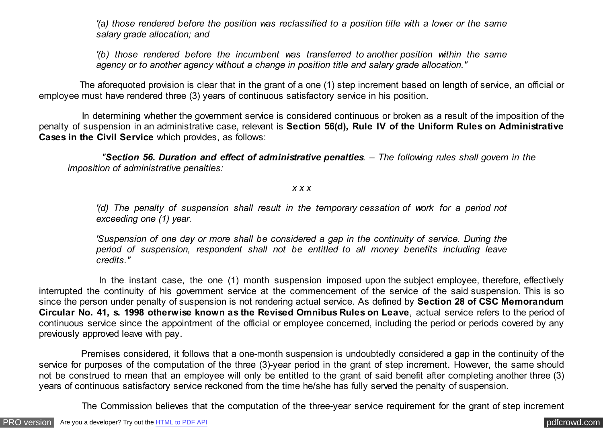*'(a) those rendered before the position was reclassified to a position title with a lower or the same salary grade allocation; and*

*'(b) those rendered before the incumbent was transferred to another position within the same agency or to another agency without a change in position title and salary grade allocation."*

 The aforequoted provision is clear that in the grant of a one (1) step increment based on length of service, an official or employee must have rendered three (3) years of continuous satisfactory service in his position.

 In determining whether the government service is considered continuous or broken as a result of the imposition of the penalty of suspension in an administrative case, relevant is **Section 56(d), Rule IV of the Uniform Rules on Administrative Cases in the Civil Service** which provides, as follows:

 *"Section 56. Duration and effect of administrative penalties. – The following rules shall govern in the imposition of administrative penalties:*

## *x x x*

*'(d) The penalty of suspension shall result in the temporary cessation of work for a period not exceeding one (1) year.*

*'Suspension of one day or more shall be considered a gap in the continuity of service. During the period of suspension, respondent shall not be entitled to all money benefits including leave credits."*

In the instant case, the one (1) month suspension imposed upon the subject employee, therefore, effectively interrupted the continuity of his government service at the commencement of the service of the said suspension. This is so since the person under penalty of suspension is not rendering actual service. As defined by **Section 28 of CSC Memorandum Circular No. 41, s. 1998 otherwise known as the Revised Omnibus Rules on Leave**, actual service refers to the period of continuous service since the appointment of the official or employee concerned, including the period or periods covered by any previously approved leave with pay.

 Premises considered, it follows that a one-month suspension is undoubtedly considered a gap in the continuity of the service for purposes of the computation of the three (3)-year period in the grant of step increment. However, the same should not be construed to mean that an employee will only be entitled to the grant of said benefit after completing another three (3) years of continuous satisfactory service reckoned from the time he/she has fully served the penalty of suspension.

The Commission believes that the computation of the three-year service requirement for the grant of step increment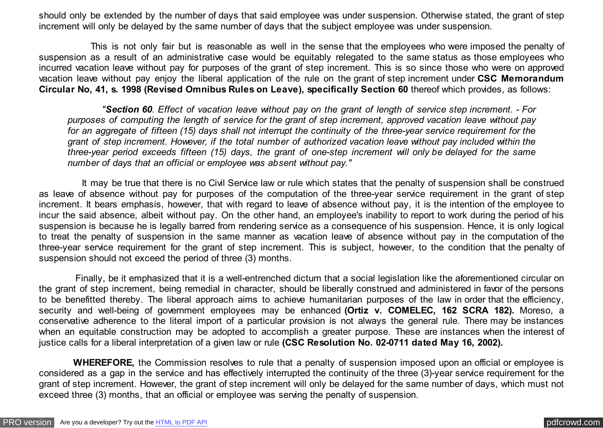should only be extended by the number of days that said employee was under suspension. Otherwise stated, the grant of step increment will only be delayed by the same number of days that the subject employee was under suspension.

 This is not only fair but is reasonable as well in the sense that the employees who were imposed the penalty of suspension as a result of an administrative case would be equitably relegated to the same status as those employees who incurred vacation leave without pay for purposes of the grant of step increment. This is so since those who were on approved vacation leave without pay enjoy the liberal application of the rule on the grant of step increment under **CSC Memorandum Circular No, 41, s. 1998 (Revised Omnibus Rules on Leave), specifically Section 60** thereof which provides, as follows:

 *"Section 60. Effect of vacation leave without pay on the grant of length of service step increment. - For purposes of computing the length of service for the grant of step increment, approved vacation leave without pay for an aggregate of fifteen (15) days shall not interrupt the continuity of the three-year service requirement for the grant of step increment. However, if the total number of authorized vacation leave without pay included within the three-year period exceeds fifteen (15) days, the grant of one-step increment will only be delayed for the same number of days that an official or employee was absent without pay."*

 It may be true that there is no Civil Service law or rule which states that the penalty of suspension shall be construed as leave of absence without pay for purposes of the computation of the three-year service requirement in the grant of step increment. It bears emphasis, however, that with regard to leave of absence without pay, it is the intention of the employee to incur the said absence, albeit without pay. On the other hand, an employee's inability to report to work during the period of his suspension is because he is legally barred from rendering service as a consequence of his suspension. Hence, it is only logical to treat the penalty of suspension in the same manner as vacation leave of absence without pay in the computation of the three-year service requirement for the grant of step increment. This is subject, however, to the condition that the penalty of suspension should not exceed the period of three (3) months.

 Finally, be it emphasized that it is a well-entrenched dictum that a social legislation like the aforementioned circular on the grant of step increment, being remedial in character, should be liberally construed and administered in favor of the persons to be benefitted thereby. The liberal approach aims to achieve humanitarian purposes of the law in order that the efficiency, security and well-being of government employees may be enhanced **(Ortiz v. COMELEC, 162 SCRA 182).** Moreso, a conservative adherence to the literal import of a particular provision is not always the general rule. There may be instances when an equitable construction may be adopted to accomplish a greater purpose. These are instances when the interest of justice calls for a liberal interpretation of a given law or rule **(CSC Resolution No. 02-0711 dated May 16, 2002).**

 **WHEREFORE,** the Commission resolves to rule that a penalty of suspension imposed upon an official or employee is considered as a gap in the service and has effectively interrupted the continuity of the three (3)-year service requirement for the grant of step increment. However, the grant of step increment will only be delayed for the same number of days, which must not exceed three (3) months, that an official or employee was serving the penalty of suspension.